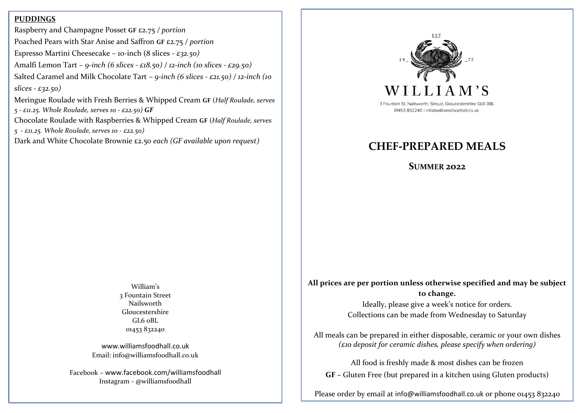#### **PUDDINGS**

Raspberry and Champagne Posset **GF** £2.75 */ portion* Poached Pears with Star Anise and Saffron **GF** £2.75 */ portion* Espresso Martini Cheesecake – 10-inch (8 slices - *£32.50)* Amalfi Lemon Tart – *9-inch (6 slices - £18.50) / 12-inch (10 slices - £29.50)*  Salted Caramel and Milk Chocolate Tart – *9-inch (6 slices - £21.50) / 12-inch (10 slices - £32.50)* 

Meringue Roulade with Fresh Berries & Whipped Cream **GF** (*Half Roulade, serves 5 - £11.25. Whole Roulade, serves 10 - £22.50) GF*

Chocolate Roulade with Raspberries & Whipped Cream **GF** (*Half Roulade, serves* 

*5 - £11.25. Whole Roulade, serves 10 - £22.50)*

Dark and White Chocolate Brownie £2.50 *each (GF available upon request)*



3 Fountain St, Nailsworth, Stroud, Gloucestershire GL6 OBL 01453 832240 | info@williamsfoodhall.co.uk

# **CHEF-PREPARED MEALS**

**SUMMER 2022**

William's 3 Fountain Street Nailsworth Gloucestershire  $GLA$   $oBL$ 01453 832240

[www.williamsfoodhall.co.uk](http://www.williamsfoodhall.co.uk/) Email: info@williamsfoodhall.co.uk

Facebook – [www.facebook.com/williamsfoodhall](http://www.facebook.com/williamsfoodhall) Instagram - @williamsfoodhall

**All prices are per portion unless otherwise specified and may be subject to change.** 

> Ideally, please give a week's notice for orders. Collections can be made from Wednesday to Saturday

All meals can be prepared in either disposable, ceramic or your own dishes *(£10 deposit for ceramic dishes, please specify when ordering)* 

All food is freshly made & most dishes can be frozen **GF –** Gluten Free (but prepared in a kitchen using Gluten products)

Please order by email at [info@williamsfoodhall.co.uk](mailto:info@williamsfoodhall.co.uk) or phone 01453 832240